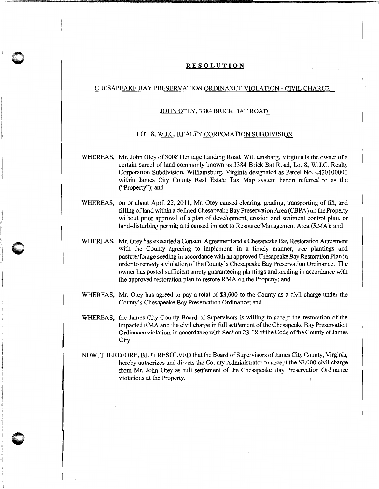## **RESOLUTION**

 $\bigcap$  $\blacktriangleright$  I' ,,

**0** 

## CHESAPEAKE BAY PRESERVATION ORDINANCE VIOLATION- CIVIL CHARGE-

## JOHN OTEY, 3384 BRICK BAT ROAD,

## LOT 8, W.J.C. REALTY CORPORATION SUBDIVISION

WHEREAS, Mr. John Otey of 3008 Heritage Landing Road, Williamsburg, Virginia is the owner of a certain parcel of land commonly known as 3384 Brick Bat Road, Lot 8, W.J.C. Realty Corporation Subdivision, Williamsburg, Virginia designated as Parcel No. 4420100001 within James City County Real Estate Tax Map system herein referred to as the ("Property"); and

- WHEREAS, on or about April 22, 2011, Mr. Otey caused clearing, grading, transporting of fill, and filling of land within a defined Chesapeake Bay Preservation Area (CBPA) on the Property without prior approval of a plan of development, erosion and sediment control plan, or land-disturbing permit; and caused impact to Resource Management Area (RMA); and
- WHEREAS, Mr. Otey has executed a Consent Agreement and a Chesapeake Bay Restoration Agreement with the County agreeing to implement, in a timely manner, tree plantings and pasture/forage seeding in accordance with an approved Chesapeake Bay Restoration Plan in order to remedy a violation of the County's Chesapeake Bay Preservation Ordinance. The owner has posted sufficient surety guaranteeing plantings and seeding in accordance with the approved restoration plan to restore RMA on the Property; and
- WHEREAS, Mr. Otey has agreed to pay a total of \$3,000 to the County as a civil charge under the County's Chesapeake Bay Preservation Ordinance; and
- WHEREAS, the James City County Board of Supervisors is willing to accept the restoration of the impacted RMA and the civil charge in full settlement of the Chesapeake Bay Preservation Ordinance violation, in accordance with Section 23-18 of the Code of the County of James City.
- NOW, THEREFORE, BE IT RESOLVED that the Board of Supervisors ofJames City County, Virginia, hereby authorizes and directs the County Administrator to accept the \$3,000 civil charge from Mr. John Otey as full settlement of the Chesapeake Bay Preservation Ordinance violations at the Property.